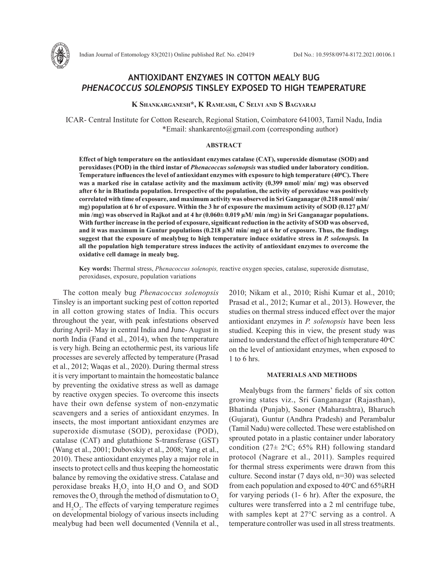

# **ANTIOXIDANT ENZYMES IN COTTON MEALY BUG**  *PHENACOCCUS SOLENOPSIS* **TINSLEY EXPOSED TO HIGH TEMPERATURE**

**K Shankarganesh\*, K Rameash, C Selvi and S Bagyaraj**

ICAR- Central Institute for Cotton Research, Regional Station, Coimbatore 641003, Tamil Nadu, India \*Email: shankarento@gmail.com (corresponding author)

## **ABSTRACT**

**Effect of high temperature on the antioxidant enzymes catalase (CAT), superoxide dismutase (SOD) and peroxidases (POD) in the third instar of** *Phenacoccus solenopsis* **was studied under laboratory condition. Temperature influences the level of antioxidant enzymes with exposure to high temperature (400 C). There was a marked rise in catalase activity and the maximum activity (0.399 nmol/ min/ mg) was observed after 6 hr in Bhatinda population. Irrespective of the population, the activity of peroxidase was positively correlated with time of exposure, and maximum activity was observed in Sri Ganganagar (0.218 nmol/ min/ mg) population at 6 hr of exposure. Within the 3 hr of exposure the maximum activity of SOD (0.127 µM/ min /mg) was observed in Rajkot and at 4 hr (0.060± 0.019 µM/ min /mg) in Sri Ganganagar populations. With further increase in the period of exposure, significant reduction in the activity of SOD was observed, and it was maximum in Guntur populations (0.218 µM/ min/ mg) at 6 hr of exposure. Thus, the findings suggest that the exposure of mealybug to high temperature induce oxidative stress in** *P. solenopsis.* **In all the population high temperature stress induces the activity of antioxidant enzymes to overcome the oxidative cell damage in mealy bug.**

**Key words:** Thermal stress, *Phenacoccus solenopis,* reactive oxygen species, catalase, superoxide dismutase, peroxidases, exposure, population variations

The cotton mealy bug *Phenacoccus solenopsis* Tinsley is an important sucking pest of cotton reported in all cotton growing states of India. This occurs throughout the year, with peak infestations observed during April- May in central India and June- August in north India (Fand et al., 2014), when the temperature is very high. Being an ectothermic pest, its various life processes are severely affected by temperature (Prasad et al., 2012; Waqas et al., 2020). During thermal stress it is very important to maintain the homeostatic balance by preventing the oxidative stress as well as damage by reactive oxygen species. To overcome this insects have their own defense system of non-enzymatic scavengers and a series of antioxidant enzymes. In insects, the most important antioxidant enzymes are superoxide dismutase (SOD), peroxidase (POD), catalase (CAT) and glutathione S-transferase (GST) (Wang et al., 2001; Dubovskiy et al., 2008; Yang et al., 2010). These antioxidant enzymes play a major role in insects to protect cells and thus keeping the homeostatic balance by removing the oxidative stress. Catalase and peroxidase breaks  $H_2O_2$  into  $H_2O$  and  $O_2$  and SOD removes the  $O_2$  through the method of dismutation to  $O_2$ and  $H_2O_2$ . The effects of varying temperature regimes on developmental biology of various insects including mealybug had been well documented (Vennila et al.,

2010; Nikam et al., 2010; Rishi Kumar et al., 2010; Prasad et al., 2012; Kumar et al., 2013). However, the studies on thermal stress induced effect over the major antioxidant enzymes in *P. solenopsis* have been less studied. Keeping this in view, the present study was aimed to understand the effect of high temperature 40°C on the level of antioxidant enzymes, when exposed to 1 to 6 hrs.

## **MATERIALS AND METHODS**

Mealybugs from the farmers' fields of six cotton growing states viz., Sri Ganganagar (Rajasthan), Bhatinda (Punjab), Saoner (Maharashtra), Bharuch (Gujarat), Guntur (Andhra Pradesh) and Perambalur (Tamil Nadu) were collected. These were established on sprouted potato in a plastic container under laboratory condition ( $27 \pm 2^0$ C; 65% RH) following standard protocol (Nagrare et al., 2011). Samples required for thermal stress experiments were drawn from this culture. Second instar (7 days old, n=30) was selected from each population and exposed to  $40^{\circ}$ C and  $65\%$ RH for varying periods (1- 6 hr). After the exposure, the cultures were transferred into a 2 ml centrifuge tube, with samples kept at 27°C serving as a control. A temperature controller was used in all stress treatments.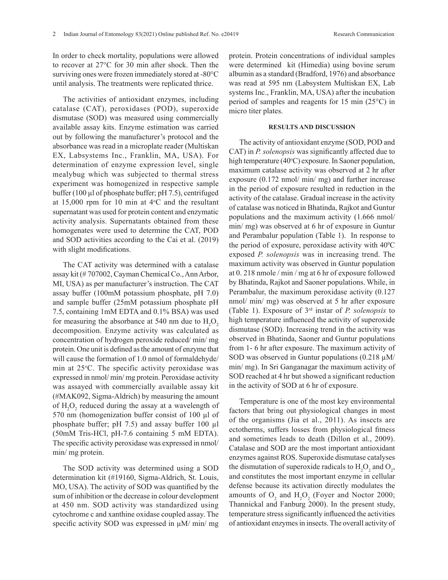In order to check mortality, populations were allowed to recover at 27°C for 30 min after shock. Then the surviving ones were frozen immediately stored at -80°C until analysis. The treatments were replicated thrice.

The activities of antioxidant enzymes, including catalase (CAT), peroxidases (POD), superoxide dismutase (SOD) was measured using commercially available assay kits. Enzyme estimation was carried out by following the manufacturer's protocol and the absorbance was read in a microplate reader (Multiskan EX, Labsystems Inc., Franklin, MA, USA). For determination of enzyme expression level, single mealybug which was subjected to thermal stress experiment was homogenized in respective sample buffer (100 µl of phosphate buffer; pH 7.5), centrifuged at  $15,000$  rpm for 10 min at  $4^{\circ}$ C and the resultant supernatant was used for protein content and enzymatic activity analysis. Supernatants obtained from these homogenates were used to determine the CAT, POD and SOD activities according to the Cai et al. (2019) with slight modifications.

The CAT activity was determined with a catalase assay kit (# 707002, Cayman Chemical Co., Ann Arbor, MI, USA) as per manufacturer's instruction. The CAT assay buffer (100mM potassium phosphate, pH 7.0) and sample buffer (25mM potassium phosphate pH 7.5, containing 1mM EDTA and 0.1% BSA) was used for measuring the absorbance at 540 nm due to  $H_2O_2$ decomposition. Enzyme activity was calculated as concentration of hydrogen peroxide reduced/ min/ mg protein. One unit is defined as the amount of enzyme that will cause the formation of 1.0 nmol of formaldehyde/ min at 25 °C. The specific activity peroxidase was expressed in nmol/ min/ mg protein. Peroxidase activity was assayed with commercially available assay kit (#MAK092, Sigma-Aldrich) by measuring the amount of  $H_2O_2$  reduced during the assay at a wavelength of 570 nm (homogenization buffer consist of 100 µl of phosphate buffer; pH 7.5) and assay buffer 100 µl (50mM Tris-HCl, pH-7.6 containing 5 mM EDTA). The specific activity peroxidase was expressed in nmol/ min/ mg protein.

The SOD activity was determined using a SOD determination kit (#19160, Sigma-Aldrich, St. Louis, MO, USA). The activity of SOD was quantified by the sum of inhibition or the decrease in colour development at 450 nm. SOD activity was standardized using cytochrome c and xanthine oxidase coupled assay. The specific activity SOD was expressed in  $\mu$ M/ min/ mg protein. Protein concentrations of individual samples were determined kit (Himedia) using bovine serum albumin as a standard (Bradford, 1976) and absorbance was read at 595 nm (Labsystem Multiskan EX, Lab systems Inc., Franklin, MA, USA) after the incubation period of samples and reagents for 15 min (25°C) in micro titer plates.

#### **RESULTS AND DISCUSSION**

The activity of antioxidant enzyme (SOD, POD and CAT) in *P. solenopsis* was significantly affected due to high temperature (40°C) exposure. In Saoner population, maximum catalase activity was observed at 2 hr after exposure (0.172 nmol/ min/ mg) and further increase in the period of exposure resulted in reduction in the activity of the catalase. Gradual increase in the activity of catalase was noticed in Bhatinda, Rajkot and Guntur populations and the maximum activity (1.666 nmol/ min/ mg) was observed at 6 hr of exposure in Guntur and Perambalur population (Table 1). In response to the period of exposure, peroxidase activity with  $40^{\circ}$ C exposed *P. solenopsis* was in increasing trend. The maximum activity was observed in Guntur population at 0. 218 nmole / min / mg at 6 hr of exposure followed by Bhatinda, Rajkot and Saoner populations. While, in Perambalur, the maximum peroxidase activity (0.127 nmol/ min/ mg) was observed at 5 hr after exposure (Table 1). Exposure of 3rd instar of *P. solenopsis* to high temperature influenced the activity of superoxide dismutase (SOD). Increasing trend in the activity was observed in Bhatinda, Saoner and Guntur populations from 1- 6 hr after exposure. The maximum activity of SOD was observed in Guntur populations  $(0.218 \mu M)$ min/ mg). In Sri Ganganagar the maximum activity of SOD reached at 4 hr but showed a significant reduction in the activity of SOD at 6 hr of exposure.

Temperature is one of the most key environmental factors that bring out physiological changes in most of the organisms (Jia et al., 2011). As insects are ectotherms, suffers losses from physiological fitness and sometimes leads to death (Dillon et al., 2009). Catalase and SOD are the most important antioxidant enzymes against ROS. Superoxide dismutase catalyses the dismutation of superoxide radicals to  $H_2O_2$  and  $O_2$ , and constitutes the most important enzyme in cellular defense because its activation directly modulates the amounts of  $O_2$  and  $H_2O_2$  (Foyer and Noctor 2000; Thannickal and Fanburg 2000). In the present study, temperature stress significantly influenced the activities of antioxidant enzymes in insects. The overall activity of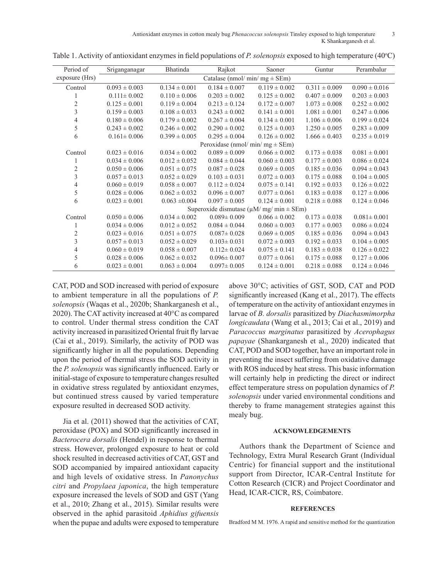Antioxidant enzymes in cotton mealy bug *Phenacoccus solenopsis* Tinsley exposed to high temperature 3 K Shankarganesh et al.

| Period of      | Sriganganagar                                      | Bhatinda          | Rajkot            | Saoner            | Guntur            | Perambalur        |
|----------------|----------------------------------------------------|-------------------|-------------------|-------------------|-------------------|-------------------|
| exposure (Hrs) | Catalase (nmol/ min/ mg $\pm$ SEm)                 |                   |                   |                   |                   |                   |
| Control        | $0.093 \pm 0.003$                                  | $0.134 \pm 0.001$ | $0.184 \pm 0.007$ | $0.119 \pm 0.002$ | $0.311 \pm 0.009$ | $0.090 \pm 0.016$ |
|                | $0.111 \pm 0.002$                                  | $0.110 \pm 0.006$ | $0.203 \pm 0.002$ | $0.125 \pm 0.002$ | $0.407 \pm 0.009$ | $0.203 \pm 0.003$ |
| $\overline{2}$ | $0.125 \pm 0.001$                                  | $0.119 \pm 0.004$ | $0.213 \pm 0.124$ | $0.172 \pm 0.007$ | $1.073 \pm 0.008$ | $0.252 \pm 0.002$ |
| 3              | $0.159 \pm 0.003$                                  | $0.108 \pm 0.033$ | $0.243 \pm 0.002$ | $0.141 \pm 0.001$ | $1.081 \pm 0.001$ | $0.247 \pm 0.006$ |
| 4              | $0.180 \pm 0.006$                                  | $0.179 \pm 0.002$ | $0.267 \pm 0.004$ | $0.134 \pm 0.001$ | $1.106 \pm 0.006$ | $0.199 \pm 0.024$ |
| 5              | $0.243 \pm 0.002$                                  | $0.246 \pm 0.002$ | $0.290 \pm 0.002$ | $0.125 \pm 0.003$ | $1.250 \pm 0.005$ | $0.283 \pm 0.009$ |
| 6              | $0.161 \pm 0.006$                                  | $0.399 \pm 0.005$ | $0.295 \pm 0.004$ | $0.126 \pm 0.002$ | $1.666 \pm 0.403$ | $0.235 \pm 0.019$ |
|                | Peroxidase (nmol/ min/ mg $\pm$ SEm)               |                   |                   |                   |                   |                   |
| Control        | $0.023 \pm 0.016$                                  | $0.034 \pm 0.002$ | $0.089 \pm 0.009$ | $0.066 \pm 0.002$ | $0.173 \pm 0.038$ | $0.081 \pm 0.001$ |
| 1              | $0.034 \pm 0.006$                                  | $0.012 \pm 0.052$ | $0.084 \pm 0.044$ | $0.060 \pm 0.003$ | $0.177 \pm 0.003$ | $0.086 \pm 0.024$ |
| $\overline{c}$ | $0.050 \pm 0.006$                                  | $0.051 \pm 0.075$ | $0.087 \pm 0.028$ | $0.069 \pm 0.005$ | $0.185 \pm 0.036$ | $0.094 \pm 0.043$ |
| 3              | $0.057 \pm 0.013$                                  | $0.052 \pm 0.029$ | $0.103 \pm 0.031$ | $0.072 \pm 0.003$ | $0.175 \pm 0.088$ | $0.104 \pm 0.005$ |
| $\overline{4}$ | $0.060 \pm 0.019$                                  | $0.058 \pm 0.007$ | $0.112 \pm 0.024$ | $0.075 \pm 0.141$ | $0.192 \pm 0.033$ | $0.126 \pm 0.022$ |
| 5              | $0.028 \pm 0.006$                                  | $0.062 \pm 0.032$ | $0.096 \pm 0.007$ | $0.077 \pm 0.061$ | $0.183 \pm 0.038$ | $0.127 \pm 0.006$ |
| 6              | $0.023 \pm 0.001$                                  | $0.063 \pm 0.004$ | $0.097 \pm 0.005$ | $0.124 \pm 0.001$ | $0.218 \pm 0.088$ | $0.124 \pm 0.046$ |
|                | Superoxide dismutase ( $\mu$ M/ mg/ min $\pm$ SEm) |                   |                   |                   |                   |                   |
| Control        | $0.050 \pm 0.006$                                  | $0.034 \pm 0.002$ | $0.089 \pm 0.009$ | $0.066 \pm 0.002$ | $0.173 \pm 0.038$ | $0.081 \pm 0.001$ |
|                | $0.034 \pm 0.006$                                  | $0.012 \pm 0.052$ | $0.084 \pm 0.044$ | $0.060 \pm 0.003$ | $0.177 \pm 0.003$ | $0.086 \pm 0.024$ |
| $\overline{c}$ | $0.023 \pm 0.016$                                  | $0.051 \pm 0.075$ | $0.087 \pm 0.028$ | $0.069 \pm 0.005$ | $0.185 \pm 0.036$ | $0.094 \pm 0.043$ |
| 3              | $0.057 \pm 0.013$                                  | $0.052 \pm 0.029$ | $0.103 \pm 0.031$ | $0.072 \pm 0.003$ | $0.192 \pm 0.033$ | $0.104 \pm 0.005$ |
| $\overline{4}$ | $0.060 \pm 0.019$                                  | $0.058 \pm 0.007$ | $0.112 \pm 0.024$ | $0.075 \pm 0.141$ | $0.183 \pm 0.038$ | $0.126 \pm 0.022$ |
| 5              | $0.028 \pm 0.006$                                  | $0.062 \pm 0.032$ | $0.096 \pm 0.007$ | $0.077 \pm 0.061$ | $0.175 \pm 0.088$ | $0.127 \pm 0.006$ |
| 6              | $0.023 \pm 0.001$                                  | $0.063 \pm 0.004$ | $0.097 \pm 0.005$ | $0.124 \pm 0.001$ | $0.218 \pm 0.088$ | $0.124 \pm 0.046$ |

Table 1. Activity of antioxidant enzymes in field populations of *P. solenopsis* exposed to high temperature  $(40^{\circ}C)$ 

CAT, POD and SOD increased with period of exposure to ambient temperature in all the populations of *P. solenopsis* (Waqas et al., 2020b; Shankarganesh et al., 2020). The CAT activity increased at 40°C as compared to control. Under thermal stress condition the CAT activity increased in parasitized Oriental fruit fly larvae (Cai et al., 2019). Similarly, the activity of POD was significantly higher in all the populations. Depending upon the period of thermal stress the SOD activity in the *P. solenopsis* was significantly influenced. Early or initial-stage of exposure to temperature changes resulted in oxidative stress regulated by antioxidant enzymes, but continued stress caused by varied temperature exposure resulted in decreased SOD activity.

Jia et al. (2011) showed that the activities of CAT, peroxidase (POX) and SOD significantly increased in *Bacterocera dorsalis* (Hendel) in response to thermal stress. However, prolonged exposure to heat or cold shock resulted in decreased activities of CAT, GST and SOD accompanied by impaired antioxidant capacity and high levels of oxidative stress. In *Panonychus citri* and *Propylaea japonica*, the high temperature exposure increased the levels of SOD and GST (Yang et al., 2010; Zhang et al., 2015). Similar results were observed in the aphid parasitoid *Aphidius gifuensis* when the pupae and adults were exposed to temperature above 30°C; activities of GST, SOD, CAT and POD significantly increased (Kang et al., 2017). The effects of temperature on the activity of antioxidant enzymes in larvae of *B. dorsalis* parasitized by *Diachasmimorpha longicaudata* (Wang et al., 2013; Cai et al., 2019) and *Paracoccus marginatus* parasitized by *Acerophagus papayae* (Shankarganesh et al., 2020) indicated that CAT, POD and SOD together, have an important role in preventing the insect suffering from oxidative damage with ROS induced by heat stress. This basic information will certainly help in predicting the direct or indirect effect temperature stress on population dynamics of *P. solenopsis* under varied environmental conditions and thereby to frame management strategies against this mealy bug.

## **ACKNOWLEDGEMENTS**

Authors thank the Department of Science and Technology, Extra Mural Research Grant (Individual Centric) for financial support and the institutional support from Director, ICAR-Central Institute for Cotton Research (CICR) and Project Coordinator and Head, ICAR-CICR, RS, Coimbatore.

### **REFERENCES**

Bradford M M. 1976. A rapid and sensitive method for the quantization